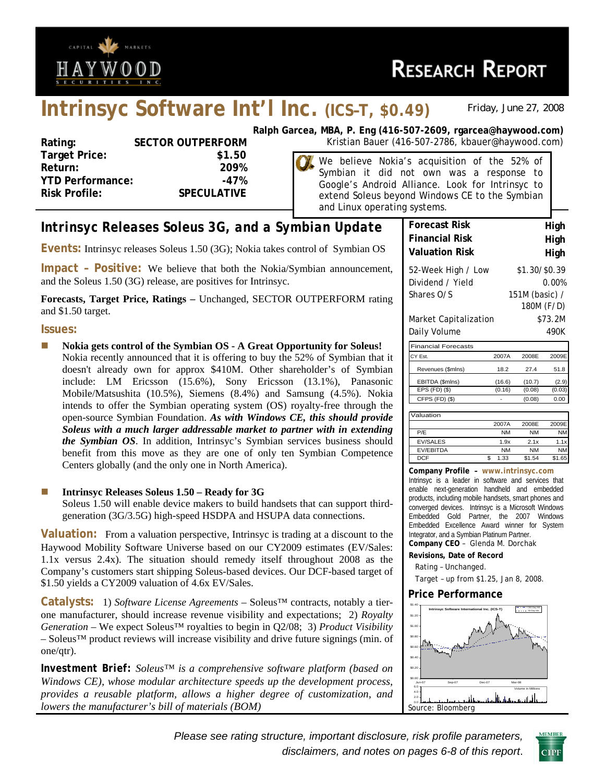

# **Intrinsyc Software Int'l Inc. (ICS–T, \$0.49)** *Friday, June 27, 2008*

| Rating:                 | <b>SECTOR OUTPERFORM</b> |
|-------------------------|--------------------------|
| <b>Target Price:</b>    | \$1.50                   |
| Return:                 | 209%                     |
| <b>YTD Performance:</b> | -47%                     |
| <b>Risk Profile:</b>    | <b>SPECULATIVE</b>       |
|                         |                          |

**Ralph Garcea, MBA, P. Eng (416-507-2609, rgarcea@haywood.com) Rating: SECTOR CORTOR CONTROLS ARE:** SECTOR METAL SECTOR METAL SECTOR METAL SECTOR METAL SECTOR METAL SECTOR ME

> We believe Nokia's acquisition of the 52% of Symbian it did not own was a response to Google's Android Alliance. Look for Intrinsyc to extend Soleus beyond Windows CE to the Symbian and Linux operating systems.

# *Intrinsyc Releases Soleus 3G, and a Symbian Update*

**Events:** Intrinsyc releases Soleus 1.50 (3G); Nokia takes control of Symbian OS

**Impact – Positive:** We believe that both the Nokia/Symbian announcement, and the Soleus 1.50 (3G) release, are positives for Intrinsyc.

**Forecasts, Target Price, Ratings –** Unchanged, SECTOR OUTPERFORM rating and \$1.50 target.

#### **Issues:**

 **Nokia gets control of the Symbian OS - A Great Opportunity for Soleus!**  Nokia recently announced that it is offering to buy the 52% of Symbian that it doesn't already own for approx \$410M. Other shareholder's of Symbian include: LM Ericsson (15.6%), Sony Ericsson (13.1%), Panasonic Mobile/Matsushita (10.5%), Siemens (8.4%) and Samsung (4.5%). Nokia intends to offer the Symbian operating system (OS) royalty-free through the open-source Symbian Foundation. *As with Windows CE, this should provide Soleus with a much larger addressable market to partner with in extending the Symbian OS*. In addition, Intrinsyc's Symbian services business should benefit from this move as they are one of only ten Symbian Competence Centers globally (and the only one in North America).

#### **Intrinsyc Releases Soleus 1.50 – Ready for 3G**

Soleus 1.50 will enable device makers to build handsets that can support thirdgeneration (3G/3.5G) high-speed HSDPA and HSUPA data connections.

**Valuation:** From a valuation perspective, Intrinsyc is trading at a discount to the Haywood Mobility Software Universe based on our CY2009 estimates (EV/Sales: 1.1x versus 2.4x). The situation should remedy itself throughout 2008 as the Company's customers start shipping Soleus-based devices. Our DCF-based target of \$1.50 yields a CY2009 valuation of 4.6x EV/Sales.

**Catalysts:** 1) *Software License Agreements* – Soleus™ contracts, notably a tierone manufacturer, should increase revenue visibility and expectations; 2) *Royalty Generation* – We expect Soleus™ royalties to begin in Q2/08; 3) *Product Visibility* – Soleus™ product reviews will increase visibility and drive future signings (min. of one/qtr).

*Investment Brief: Soleus™ is a comprehensive software platform (based on Windows CE), whose modular architecture speeds up the development process, provides a reusable platform, allows a higher degree of customization, and lowers the manufacturer's bill of materials (BOM)* 

| J SYSLEIIIS.          |                              |
|-----------------------|------------------------------|
|                       |                              |
| <b>Forecast Risk</b>  | High                         |
| <b>Financial Risk</b> | High                         |
| <b>Valuation Risk</b> | High                         |
| 52-Week High / Low    | \$1.30/\$0.39                |
| Dividend / Yield      | 0.00%                        |
| Shares O/S            | 151M (basic) /<br>180M (F/D) |
| Market Capitalization | \$73.2M                      |
| Daily Volume          | 490K                         |

| <b>Financial Forecasts</b> |        |        |        |
|----------------------------|--------|--------|--------|
| CY Est.                    | 2007A  | 2008F  | 2009E  |
| Revenues (\$mlns)          | 18.2   | 27.4   | 51.8   |
| EBITDA (\$mlns)            | (16.6) | (10.7) | (2.9)  |
| $EPS$ (FD) $(\$)$          | (0.16) | (0.08) | (0.03) |
| CFPS (FD) (\$)             |        | (0.08) | 0.00   |
|                            |        |        |        |

| Valuation        |           |        |           |
|------------------|-----------|--------|-----------|
|                  | 2007A     | 2008F  | 2009E     |
| P/F              | <b>NM</b> | NΜ     | <b>NM</b> |
| <b>EV/SALES</b>  | 1.9x      | 2.1x   | 1.1x      |
| <b>EV/EBITDA</b> | <b>NM</b> | NΜ     | <b>NM</b> |
| <b>DCF</b>       | 1.33      | \$1.54 | \$1.65    |

**Company Profile – www.intrinsyc.com** Intrinsyc is a leader in software and services that enable next-generation handheld and embedded products, including mobile handsets, smart phones and converged devices. Intrinsyc is a Microsoft Windows Embedded Gold Partner, the 2007 Windows Embedded Excellence Award winner for System Integrator, and a Symbian Platinum Partner.

**Company CEO** – Glenda M. Dorchak

**Revisions, Date of Record** 

Rating – Unchanged.

Target – up from \$1.25, Jan 8, 2008.

#### **Price Performance**



*Please see rating structure, important disclosure, risk profile parameters, disclaimers, and notes on pages 6-8 of this report*.

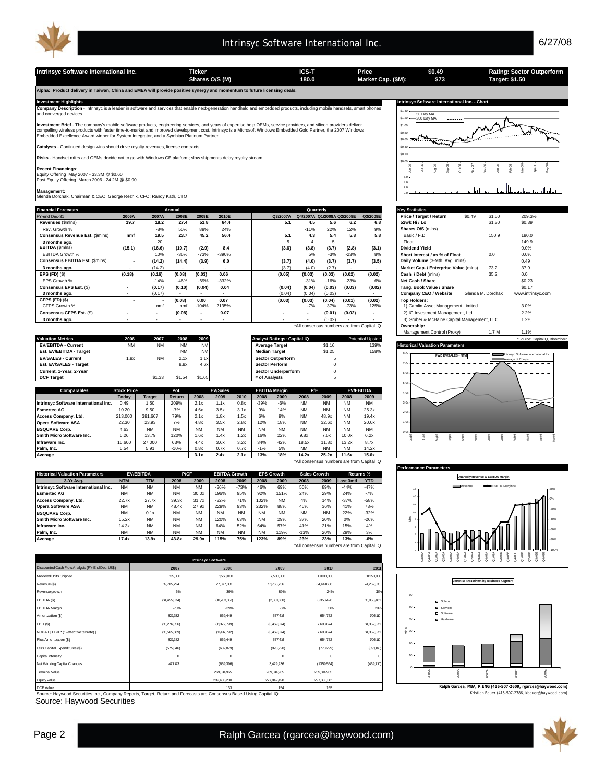

**Shares O/S (M) Market Cap. (\$M): 180.0 Target: \$1.50**

**Intrinsyc Software International Inc. Ticker ICS-T Price Rating: Sector Outperform**

**Alpha: Product delivery in Taiwan, China and EMEA will provide positive synergy and momentum to future licensing deals.** 

**Intrinsyc Software International Inc. - Chart**<br>International Inc. - Chart Chart and services that enable next-generation handheld and embedded products. including mobile handsets. smart phones **Company Description** - Intrinsyc is a leader in software and services that enable next-generation handheld and embedded products, including mobile handsets, smart phones and converged devices. and converged devices.<br>T

**Investment Brief** - The company's mobile software products, engineering services, and years of expertise help OEMs, service providers, and silicon providers deliver<br>compelling wireless products with faster time-to-market

**Catalysts** - Continued design wins should drive royalty revenues, license contracts.

**Risks** - Handset mftrs and OEMs decide not to go with Windows CE platform; slow shipments delay royalty stream.

**Recent Financings**: Equity Offering May 2007 - 33.3M @ \$0.60 Past Equity Offering March 2006 - 24.2M @ \$0.90

**Management:** Glenda Dorchak, Chairman & CEO; George Reznik, CFO; Randy Kath, CTO

| <b>Financial Forecasts</b>      |                          | Quarterly<br>Annual |        |                          |                          |          |                                            |        |                          |                          |  | <b>Key Statistics</b>                       |        |                   |                   |
|---------------------------------|--------------------------|---------------------|--------|--------------------------|--------------------------|----------|--------------------------------------------|--------|--------------------------|--------------------------|--|---------------------------------------------|--------|-------------------|-------------------|
| FY-end Dec-31                   | 2006A                    | 2007A               | 2008E  | 2009E                    | 2010E                    | Q3/2007A | Q4/2007A Q1/2008A Q2/2008E                 |        |                          | Q3/2008E                 |  | Price / Target / Return                     | \$0.49 | \$1.50            | 209.3%            |
| Revenues (\$mins)               | 19.7                     | 18.2                | 27.4   | 51.8                     | 64.4                     | 5.1      | 4.5                                        | 5.6    | 6.2                      | 6.8                      |  | 52wk Hi / Lo                                |        | \$1.30            | \$0.39            |
| Rev. Growth %                   |                          | $-8%$               | 50%    | 89%                      | 24%                      |          | $-11%$                                     | 22%    | 12%                      | 9%                       |  | Shares O/S (mins)                           |        |                   |                   |
| Consensus Revenue Est. (\$mins) | nmf                      | 19.5                | 23.7   | 45.2                     | 56.4                     | 5.1      | 4.3                                        | 5.4    | 5.8                      | 5.8                      |  | Basic / F.D.                                |        | 150.9             | 180.0             |
| 3 months ago.                   |                          | 20                  |        |                          |                          |          |                                            | ÷.     | $\overline{\phantom{a}}$ |                          |  | Float                                       |        |                   | 149.9             |
| EBITDA (\$mins)                 | (15.1)                   | (16.6)              | (10.7) | (2.9)                    | 8.4                      | (3.6)    | (3.8)                                      | (3.7)  | (2.8)                    | (3.1)                    |  | <b>Dividend Yield</b>                       |        |                   | 0.0%              |
| EBITDA Growth %                 |                          | 10%                 | $-36%$ | $-73%$                   | $-390%$                  |          | 5%                                         | $-3%$  | $-23%$                   | 8%                       |  | Short Interest / as % of Float              |        | 0.0               | 0.0%              |
| Consensus EBITDA Est. (\$mins)  | $\overline{\phantom{a}}$ | (14.2)              | (14.4) | (3.9)                    | 6.0                      | (3.7)    | (4.0)                                      | (3.7)  | (3.7)                    | (3.5)                    |  | Daily Volume (3-Mth. Avg. mlns)             |        |                   | 0.49              |
| 3 months ago.                   |                          | (14.2)              |        |                          |                          | (3.7)    | (4.0)                                      | (2.7)  |                          | $\sim$                   |  | Market Cap. / Enterprise Value (mlns)       |        | 73.2              | 37.9              |
| EPS $(FD)$ $(\$)$               | (0.18)                   | (0.16)              | (0.08) | (0.03)                   | 0.06                     | (0.05)   | (0.03)                                     | (0.03) | (0.02)                   | (0.02)                   |  | Cash / Debt (mins)                          |        | 35.2              | 0.0               |
| EPS Growth %                    |                          | $-14%$              | $-46%$ | $-69%$                   | $-332%$                  |          | $-31%$                                     | $-16%$ | $-23%$                   | 6%                       |  | Net Cash / Share                            |        |                   | \$0.23            |
| Consensus EPS Est. (\$)         | $\overline{\phantom{a}}$ | (0.17)              | (0.10) | (0.04)                   | 0.04                     | (0.04)   | (0.04)                                     | (0.03) | (0.03)                   | (0.02)                   |  | Tang. Book Value / Share                    |        |                   | \$0.17            |
| 3 months ago.                   |                          | (0.17)              |        |                          | $\overline{\phantom{a}}$ | (0.04)   | (0.04)                                     | (0.03) | $\overline{\phantom{a}}$ |                          |  | Company CEO / Website                       |        | Glenda M. Dorchak | www.intrinsyc.com |
| CFPS (FD) (\$)                  |                          |                     | (0.08) | 0.00                     | 0.07                     | (0.03)   | (0.03)                                     | (0.04) | (0.01)                   | (0.02)                   |  | <b>Top Holders:</b>                         |        |                   |                   |
| CFPS Growth %                   |                          | nmf                 | nmf    | $-104%$                  | 2135%                    |          | $-7%$                                      | 37%    | $-73%$                   | 125%                     |  | 1) Camlin Asset Management Limited          |        |                   | 3.0%              |
| Consensus CFPS Est. (\$)        |                          | $\cdot$             | (0.08) | $\overline{\phantom{a}}$ | 0.07                     |          | $\overline{\phantom{a}}$                   | (0.01) | (0.02)                   | $\overline{\phantom{a}}$ |  | 2) IG Investment Management, Ltd.           |        |                   | 2.2%              |
| 3 months ago.                   |                          |                     |        |                          |                          |          |                                            | (0.02) |                          |                          |  | 3) Gruber & McBaine Capital Management, LLC |        |                   | 1.2%              |
|                                 |                          |                     |        |                          |                          |          | *All consensus numbers are from Capital IQ |        |                          |                          |  | Ownership:                                  |        |                   |                   |

| Comparables                | <b>Stock Price</b><br>Today | Target    | Pot.<br>Return | 2008      | <b>EV/Sales</b><br>2009<br>2010 | <b>EBITDA Margin</b><br>2008<br>2009<br>2008 | P/E<br>2009 | <b>EV/EBITDA</b><br>2008<br>2009 |                                               |
|----------------------------|-----------------------------|-----------|----------------|-----------|---------------------------------|----------------------------------------------|-------------|----------------------------------|-----------------------------------------------|
|                            |                             |           |                |           |                                 |                                              |             |                                  |                                               |
| <b>DCF Target</b>          |                             | \$1.33    | \$1.54         | \$1.65    |                                 | # of Analysts                                |             |                                  |                                               |
| Current, 1-Year, 2-Year    |                             |           |                |           |                                 | <b>Sector Underperform</b>                   |             |                                  |                                               |
| Est. EV/SALES - Target     |                             |           | 8.8x           | 4.6x      |                                 | <b>Sector Perform</b>                        |             |                                  |                                               |
| <b>EV/SALES - Current</b>  | 1.9x                        | <b>NM</b> | 2.1x           | 1.1x      |                                 | <b>Sector Outperform</b>                     |             |                                  | <b>FWD EV/SALES - NTM</b><br>Average of Comps |
| Est. EV/EBITDA - Target    |                             |           | <b>NM</b>      | <b>NM</b> |                                 | <b>Median Target</b>                         | \$1.25      | 158%                             | Intrinsyc Software International Inc.         |
| <b>EV/EBITDA - Current</b> | <b>NM</b>                   | <b>NM</b> | <b>NM</b>      | <b>NM</b> |                                 | <b>Average Target</b>                        | \$1.16      | 139%                             | <b>Historical Valuation Parameters</b>        |
| <b>Valuation Metrics</b>   | 2006                        | 2007      | 2008           | 2009      |                                 | Analyst Ratings: Capital IQ                  |             | <b>Potential Upside</b>          | *Source: CapitalIQ, Bloomberg                 |
|                            |                             |           |                |           |                                 |                                              |             |                                  | Management Control (Proxy)<br>1.7 M<br>.1%    |

|                                       | Todav   | Target    | <b>Return</b> | 2008      | 2009      | 2010      | 2008      | 2009      | 2008      | 2009      | 2008      | 2009                                       |
|---------------------------------------|---------|-----------|---------------|-----------|-----------|-----------|-----------|-----------|-----------|-----------|-----------|--------------------------------------------|
| Intrinsyc Software International Inc. | 0.49    | i.50      | 209%          | 2.1x      | 1.1x      | 0.8x      | $-39%$    | $-6%$     | <b>NM</b> | <b>NM</b> | <b>NM</b> | <b>NM</b>                                  |
| <b>Esmertec AG</b>                    | 10.20   | 9.50      | $-7%$         | 4.6x      | 3.5x      | 3.1x      | 9%        | 14%       | <b>NM</b> | <b>NM</b> | <b>NM</b> | 25.3x                                      |
| Access Company, Ltd.                  | 213,000 | 381.667   | 79%           | 2.1x      | 1.8x      | 1.5x      | 6%        | 9%        | <b>NM</b> | 48.9x     | <b>NM</b> | 19.4x                                      |
| <b>Opera Software ASA</b>             | 22.30   | 23.93     | 7%            | 4.8x      | 3.5x      | 2.8x      | 12%       | 18%       | <b>NM</b> | 32.6x     | <b>NM</b> | 20.0x                                      |
| <b>BSQUARE Corp.</b>                  | 4.63    | <b>NM</b> | <b>NM</b>     | <b>NM</b> | <b>NM</b> | <b>NM</b> | <b>NM</b> | <b>NM</b> | <b>NM</b> | <b>NM</b> | <b>NM</b> | <b>NM</b>                                  |
| Smith Micro Software Inc.             | 6.26    | 13.79     | 120%          | 1.6x      | 1.4x      | 1.2x      | 16%       | 22%       | 9.8x      | 7.6x      | 10.0x     | 6.2x                                       |
| Infraware Inc.                        | 16.600  | 27,000    | 63%           | 4.4x      | 3.6x      | 3.2x      | 34%       | 42%       | 18.5x     | 11.8x     | 13.2x     | 8.7x                                       |
| Palm. Inc.                            | 6.54    | 5.91      | $-10%$        | 0.8x      | 0.7x      | 0.7x      | $-1%$     | 5%        | <b>NM</b> | <b>NM</b> | <b>NM</b> | 14.2x                                      |
| Average                               |         |           |               | 3.1x      | 2.4x      | 2.1x      | 13%       | 18%       | 14.2x     | 25.2x     | 11.6x     | 15.6x                                      |
|                                       |         |           |               |           |           |           |           |           |           |           |           | *All consensus numbers are from Capital IQ |

| <b>Historical Valuation Parameters</b> |            | <b>EV/EBITDA</b> | P/CF      |           | <b>EBITDA Growth</b> |           |           | <b>EPS Growth</b> | <b>Sales Growth</b> |           | Returns %        |            |
|----------------------------------------|------------|------------------|-----------|-----------|----------------------|-----------|-----------|-------------------|---------------------|-----------|------------------|------------|
| 3-Yr Ava.                              | <b>NTM</b> | <b>TTM</b>       | 2008      | 2009      | 2008                 | 2009      | 2008      | 2009              | 2008                | 2009      | <b>Last 3mtl</b> | <b>YTD</b> |
| Intrinsyc Software International Inc.  | <b>NM</b>  | <b>NM</b>        | <b>NM</b> | <b>NM</b> | $-36%$               | $-73%$    | 46%       | 69%               | 50%                 | 89%       | $-44%$           | $-47%$     |
| <b>Esmertec AG</b>                     | <b>NM</b>  | <b>NM</b>        | <b>NM</b> | 30.0x     | 196%                 | 95%       | 92%       | 151%              | 24%                 | 29%       | 24%              | $-7%$      |
| Access Company, Ltd.                   | 22.7x      | 27.7x            | 39.3x     | 31.7x     | $-32%$               | 71%       | 102%      | <b>NM</b>         | 4%                  | 14%       | $-37%$           | $-58%$     |
| <b>Opera Software ASA</b>              | <b>NM</b>  | <b>NM</b>        | 48.4x     | 27.9x     | 229%                 | 93%       | 232%      | 88%               | 45%                 | 36%       | 41%              | 73%        |
| <b>BSQUARE Corp.</b>                   | <b>NM</b>  | 0.1x             | <b>NM</b> | <b>NM</b> | <b>NM</b>            | <b>NM</b> | <b>NM</b> | <b>NM</b>         | <b>NM</b>           | <b>NM</b> | 22%              | $-32%$     |
| Smith Micro Software Inc.              | 15.2x      | <b>NM</b>        | <b>NM</b> | <b>NM</b> | 120%                 | 63%       | <b>NM</b> | 29%               | 37%                 | 20%       | 0%               | $-26%$     |
| Infraware Inc.                         | 14.3x      | <b>NM</b>        | <b>NM</b> | <b>NM</b> | 64%                  | 52%       | 64%       | 57%               | 41%                 | 21%       | 15%              | 4%         |
| <b>Palm. Inc.</b>                      | <b>NM</b>  | <b>NM</b>        | <b>NM</b> | <b>NM</b> | <b>NM</b>            | <b>NM</b> | <b>NM</b> | 119%              | $-13%$              | 20%       | 29%              | 3%         |
| Average                                | 17.4x      | 13.9x            | 43.8x     | 29.9x     | 15%                  | 75%       | 123%      | 89%               | 23%                 | 23%       | 13%              | -6%        |

\*All consensus numbers are from Capital IQ

|                                                  |              | <b>Intrinsyc Software</b> |             |             |            |
|--------------------------------------------------|--------------|---------------------------|-------------|-------------|------------|
| Discounted Cash Flow Analysis (FY-End Dec, US\$) | 2007         | 2008                      | 2009        | 2010        | 2011       |
| Modeled Units Shipped                            | 125,000      | 1550,000                  | 7,500,000   | 10,000,000  | 11,250,000 |
| Revenue (\$)                                     | 19,705,794   | 27,377,081                | 51763,756   | 64,441,606  | 74,262,315 |
| Revenue growth                                   | 6%           | 39%                       | 89%         | 24%         | <b>15%</b> |
| EBITDA (\$)                                      | (14,455,074) | (10,703,351)              | (2,881660)  | 8,353,426   | 15,058,481 |
| EBITDA Margin                                    | $-73%$       | $-39%$                    | $-6%$       | 13%         | 20%        |
| Amortization (\$)                                | 821282       | 669,449                   | 577,414     | 654,752     | 706,110    |
| EBIT (\$)                                        | (15,276,356) | (11,372,799)              | (3,459,074) | 7,698,674   | 14,352,371 |
| NOPAT [EBIT * (1- effective tax rate) ]          | (15,565,689) | (11,417,792)              | (3,459,074) | 7,698,674   | 14,352,371 |
| Plus Amortization (\$)                           | 821282       | 669,449                   | 577,414     | 654,752     | 706,110    |
| Less Capital Expenditures (\$)                   | (575,046)    | (682, 879)                | (828, 220)  | (773, 299)  | (891148)   |
| Capital Intensity                                | $^{\circ}$   |                           | C           | O           | Ω          |
| Net Working Capital Changes                      | 471143       | (659,396)                 | 3,429,236   | (1359, 564) | (439,710)  |
| <b>Terminal Value</b>                            |              | 269,314,965               | 269,314,965 | 269,314,965 |            |
| Equity Value                                     |              | 239,405,200               | 277,842,498 | 297,383,381 |            |
|                                                  |              |                           |             |             |            |

Source: Haywood Securities Inc., Company Reports, Target, Return and Forecasts are Consensus Based Using Capital IQ. the Consensus Based Using Capital IQ. Kristian Bauer (416-507-2786, kbauer@haywood.com) دوران المستخدم ا

Source: Haywood Securities



**\$0.49 \$73**

| <b>Key Statistics</b>                       |        |                   |                   |
|---------------------------------------------|--------|-------------------|-------------------|
| Price / Target / Return                     | \$0.49 | \$1.50            | 209.3%            |
| 52wk Hi / Lo                                |        | \$1.30            | \$0.39            |
| Shares O/S (mlns)                           |        |                   |                   |
| Basic / F.D.                                |        | 150.9             | 180.0             |
| Float                                       |        |                   | 149.9             |
| <b>Dividend Yield</b>                       |        |                   | 0.0%              |
| Short Interest / as % of Float              |        | 0.0               | 0.0%              |
| Daily Volume (3-Mth. Avg. mlns)             |        |                   | 0.49              |
| Market Cap. / Enterprise Value (mlns)       |        | 73.2              | 37.9              |
| Cash / Debt (mlns)                          |        | 35.2              | 0.0               |
| Net Cash / Share                            |        |                   | \$0.23            |
| Tang. Book Value / Share                    |        |                   | \$0.17            |
| Company CEO / Website                       |        | Glenda M. Dorchak | www.intrinsyc.com |
| <b>Top Holders:</b>                         |        |                   |                   |
| 1) Camlin Asset Management Limited          |        |                   | 3.0%              |
| 2) IG Investment Management, Ltd.           |        |                   | 2.2%              |
| 3) Gruber & McBaine Capital Management, LLC |        |                   | 1.2%              |
| Ownership:                                  |        |                   |                   |
| Management Control (Proxy)                  |        | 1.7 M             | 1.1%              |







**Ralph Garcea, MBA, P.ENG (416-507-2609, rgarcea@haywood.com)**

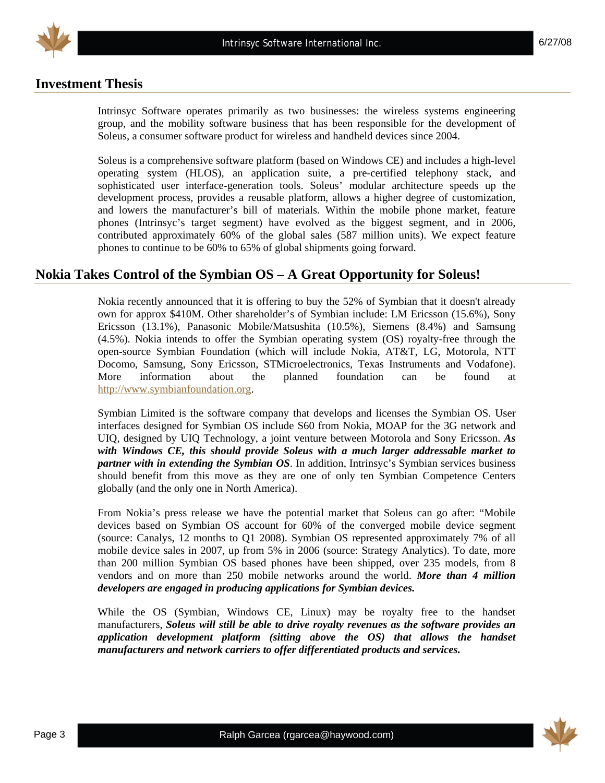



### **Investment Thesis**

Intrinsyc Software operates primarily as two businesses: the wireless systems engineering group, and the mobility software business that has been responsible for the development of Soleus, a consumer software product for wireless and handheld devices since 2004.

Soleus is a comprehensive software platform (based on Windows CE) and includes a high-level operating system (HLOS), an application suite, a pre-certified telephony stack, and sophisticated user interface-generation tools. Soleus' modular architecture speeds up the development process, provides a reusable platform, allows a higher degree of customization, and lowers the manufacturer's bill of materials. Within the mobile phone market, feature phones (Intrinsyc's target segment) have evolved as the biggest segment, and in 2006, contributed approximately 60% of the global sales (587 million units). We expect feature phones to continue to be 60% to 65% of global shipments going forward.

# **Nokia Takes Control of the Symbian OS – A Great Opportunity for Soleus!**

Nokia recently announced that it is offering to buy the 52% of Symbian that it doesn't already own for approx \$410M. Other shareholder's of Symbian include: LM Ericsson (15.6%), Sony Ericsson (13.1%), Panasonic Mobile/Matsushita (10.5%), Siemens (8.4%) and Samsung (4.5%). Nokia intends to offer the Symbian operating system (OS) royalty-free through the open-source Symbian Foundation (which will include Nokia, AT&T, LG, Motorola, NTT Docomo, Samsung, Sony Ericsson, STMicroelectronics, Texas Instruments and Vodafone). More information about the planned foundation can be found at http://www.symbianfoundation.org.

Symbian Limited is the software company that develops and licenses the Symbian OS. User interfaces designed for Symbian OS include S60 from Nokia, MOAP for the 3G network and UIQ, designed by UIQ Technology, a joint venture between Motorola and Sony Ericsson. *As with Windows CE, this should provide Soleus with a much larger addressable market to partner with in extending the Symbian OS*. In addition, Intrinsyc's Symbian services business should benefit from this move as they are one of only ten Symbian Competence Centers globally (and the only one in North America).

From Nokia's press release we have the potential market that Soleus can go after: "Mobile devices based on Symbian OS account for 60% of the converged mobile device segment (source: Canalys, 12 months to Q1 2008). Symbian OS represented approximately 7% of all mobile device sales in 2007, up from 5% in 2006 (source: Strategy Analytics). To date, more than 200 million Symbian OS based phones have been shipped, over 235 models, from 8 vendors and on more than 250 mobile networks around the world. *More than 4 million developers are engaged in producing applications for Symbian devices.*

While the OS (Symbian, Windows CE, Linux) may be royalty free to the handset manufacturers, *Soleus will still be able to drive royalty revenues as the software provides an application development platform (sitting above the OS) that allows the handset manufacturers and network carriers to offer differentiated products and services.* 

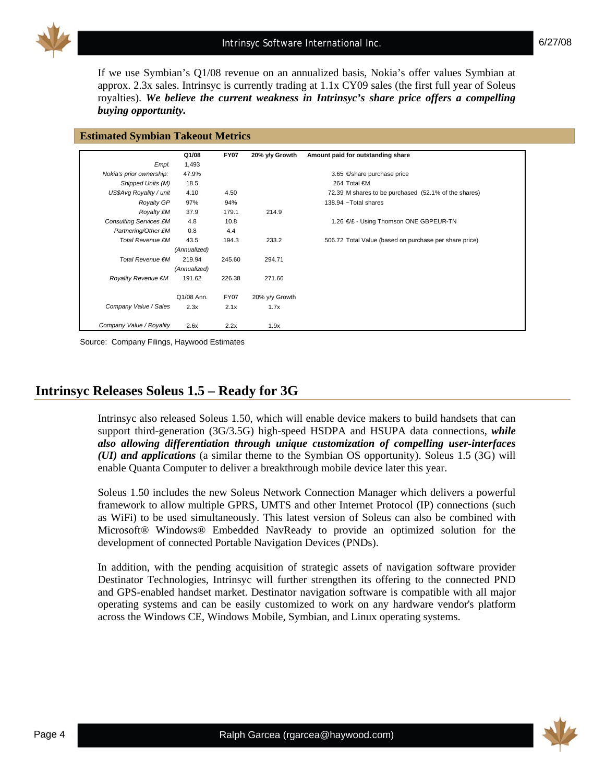

If we use Symbian's Q1/08 revenue on an annualized basis, Nokia's offer values Symbian at approx. 2.3x sales. Intrinsyc is currently trading at 1.1x CY09 sales (the first full year of Soleus royalties). *We believe the current weakness in Intrinsyc's share price offers a compelling buying opportunity.*

|                               | Q1/08        | <b>FY07</b> | 20% y/y Growth | Amount paid for outstanding share                      |
|-------------------------------|--------------|-------------|----------------|--------------------------------------------------------|
| Empl.                         | 1,493        |             |                |                                                        |
| Nokia's prior ownership:      | 47.9%        |             |                | 3.65 €/share purchase price                            |
| Shipped Units (M)             | 18.5         |             |                | 264 Total €M                                           |
| US\$Avg Royality / unit       | 4.10         | 4.50        |                | 72.39 M shares to be purchased (52.1% of the shares)   |
| <b>Royalty GP</b>             | 97%          | 94%         |                | 138.94 $\sim$ Total shares                             |
| <b>Royalty £M</b>             | 37.9         | 179.1       | 214.9          |                                                        |
| <b>Consulting Services £M</b> | 4.8          | 10.8        |                | 1.26 €/£ - Using Thomson ONE GBPEUR-TN                 |
| Partnering/Other £M           | 0.8          | 4.4         |                |                                                        |
| <b>Total Revenue £M</b>       | 43.5         | 194.3       | 233.2          | 506.72 Total Value (based on purchase per share price) |
|                               | (Annualized) |             |                |                                                        |
| Total Revenue €M              | 219.94       | 245.60      | 294.71         |                                                        |
|                               | (Annualized) |             |                |                                                        |
| Royality Revenue €M           | 191.62       | 226.38      | 271.66         |                                                        |
|                               | Q1/08 Ann.   | <b>FY07</b> | 20% y/y Growth |                                                        |
| Company Value / Sales         | 2.3x         | 2.1x        | 1.7x           |                                                        |
| Company Value / Royality      | 2.6x         | 2.2x        | 1.9x           |                                                        |

Source: Company Filings, Haywood Estimates

# **Intrinsyc Releases Soleus 1.5 – Ready for 3G**

Intrinsyc also released Soleus 1.50, which will enable device makers to build handsets that can support third-generation (3G/3.5G) high-speed HSDPA and HSUPA data connections, *while also allowing differentiation through unique customization of compelling user-interfaces (UI) and applications* (a similar theme to the Symbian OS opportunity). Soleus 1.5 (3G) will enable Quanta Computer to deliver a breakthrough mobile device later this year.

Soleus 1.50 includes the new Soleus Network Connection Manager which delivers a powerful framework to allow multiple GPRS, UMTS and other Internet Protocol (IP) connections (such as WiFi) to be used simultaneously. This latest version of Soleus can also be combined with Microsoft® Windows® Embedded NavReady to provide an optimized solution for the development of connected Portable Navigation Devices (PNDs).

In addition, with the pending acquisition of strategic assets of navigation software provider Destinator Technologies, Intrinsyc will further strengthen its offering to the connected PND and GPS-enabled handset market. Destinator navigation software is compatible with all major operating systems and can be easily customized to work on any hardware vendor's platform across the Windows CE, Windows Mobile, Symbian, and Linux operating systems.

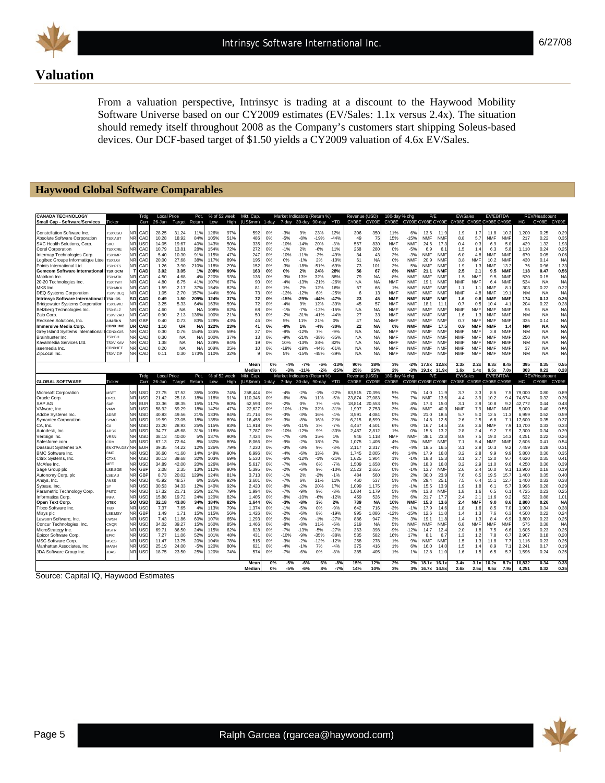

6/27/08

# **Valuation**

From a valuation perspective, Intrinsyc is trading at a discount to the Haywood Mobility Software Universe based on our CY2009 estimates (EV/Sales: 1.1x versus 2.4x). The situation should remedy itself throughout 2008 as the Company's customers start shipping Soleus-based devices. Our DCF-based target of \$1.50 yields a CY2009 valuation of 4.6x EV/Sales.

#### **Haywood Global Software Comparables**

| <b>CANADA TECHNOLOGY</b><br>Small Cap - Software/Services    | <b>Ticker</b>                  |                        | Trdg<br>Curr             | <b>Local Price</b><br>26-Jun | Target            | Pot.<br>Return  | % of 52 week<br>Low | High       | Mkt. Cap.<br>(US\$mm) | 1-day    | Market Indicators (Return %)<br>7-day | $30$ -day        | 90-day           | YTD              | Revenue (USD)<br>CY08E | CY09E                  | 180-day % chg<br>CY08E   |                          | P/E                      |                          | EV/Sales<br>CY09E CY08E CY09E CY08E |                          | <b>EV/EBITDA</b><br>CY09E CY08E CY09E |                          | нc              | REV/Headcount<br>CY08E | CY09E             |
|--------------------------------------------------------------|--------------------------------|------------------------|--------------------------|------------------------------|-------------------|-----------------|---------------------|------------|-----------------------|----------|---------------------------------------|------------------|------------------|------------------|------------------------|------------------------|--------------------------|--------------------------|--------------------------|--------------------------|-------------------------------------|--------------------------|---------------------------------------|--------------------------|-----------------|------------------------|-------------------|
| Constellation Software Inc.                                  | <b>TSX:CSU</b>                 | NR                     | CAD                      | 28.25                        | 31.24             | 11 <sup>c</sup> | 126%                | 97%        | 592                   | 0%       | $-3%$                                 | 9%               | 23%              | 12%              | 306                    | 350                    | 11%                      | 6%                       | 13.6                     | 11.9                     | 1.9                                 | 1.7                      | 11.8                                  | 10.3                     | 1,200           | 0.25                   | 0.29              |
| Absolute Software Corporation                                | <b>SX:ABT</b>                  | NR                     | CAD                      | 10.28                        | 18.92             | 84%             | 105%                | 51%        | 486                   | 0%       | $-5%$                                 | $-8%$            | $-19%$           | $-44%$           | 49                     | 75                     | 15%                      | $-15%$                   | <b>NMF</b>               | <b>NMF</b>               | 8.8                                 | 5.7                      | <b>NMF</b>                            | <b>NMF</b>               | 217             | 0.22                   | 0.35              |
| SXC Health Solutions, Corp.                                  | <b>SXCI</b>                    | <b>NR</b>              | USD                      | 14.05                        | 19.67             | 40%             | 143%                | 50%        | 335                   | 0%       | $-10%$                                | $-14%$           | 20%              | $-3%$            | 567                    | 830                    | <b>NMF</b>               | <b>NMF</b>               | 24.6                     | 17.3                     | 0.4                                 | 0.3                      | 6.9                                   | 5.0                      | 429             | 1.32                   | 1.93              |
| <b>Corel Corporation</b>                                     | TSX:CRE                        | <b>NR</b>              | CAD                      | 10.79                        | 13.81             | 28%             | 154%                | 72%        | 272                   | 0%       | $-1%$                                 | 2%               | $-6%$            | 11%              | 268                    | 280                    | 0%                       | $-5%$                    | 6.9                      | 6.1                      | 1.5                                 | 1.4                      | 6.3                                   | 5.8                      | 1.110           | 0.24                   | 0.25              |
| Intermap Technologies Corp.                                  | TSX:IMP                        | <b>NR</b><br><b>NR</b> | CAD                      | 5.40                         | 10.30             | 91%             | 115%                | 47%        | 247                   | 0%       | $-10%$                                | $-11%$           | $-2%$            | $-49%$           | 34                     | 43                     | 2%                       | $-3%$                    | <b>NMF</b>               | <b>NMF</b>               | 6.0                                 | 4.8                      | <b>NMF</b>                            | NMF                      | 670             | 0.05                   | 0.06              |
| Logibec Groupe Informatique Ltee<br>Points International Ltd | <b>SX:LGI</b><br><b>SX:PTS</b> | <b>NR</b>              | CAD<br>CAD               | 20.00<br>1.26                | 27.68<br>3.90     | 38%<br>210%     | 117%<br>118%        | 89%<br>29% | 195<br>152            | 0%<br>0% | 0%<br>$-3%$                           | $-1%$<br>$-18%$  | 2%<br>$-51%$     | $-10%$<br>$-69%$ | 61<br>73               | <b>NA</b><br>101       | 0%<br>2%                 | <b>NMF</b><br>5%         | 20.9<br><b>NMF</b>       | <b>NMF</b><br><b>NMF</b> | 3.8<br>1.9                          | NMF<br>1.3               | 10.2<br><b>NMF</b>                    | <b>NMF</b><br>13.2       | 430<br>76       | 0.14<br>0.96           | <b>NA</b><br>1.33 |
| <b>Gemcom Software International</b>                         | <b>ISX:GCM</b>                 | т                      | CAD                      | 3.02                         | 3.05              | 1%              | 208%                | 99%        | 163                   | 0%       | 0%                                    | 2%               | 24%              | 28%              | 56                     | 67                     | 8%                       | <b>NMF</b>               | 21.1                     | <b>NMF</b>               | 2.5                                 | 2.1                      | 9.5                                   | <b>NMF</b>               | 118             | 0.47                   | 0.56              |
| Matrikon Inc.                                                | TSX:MTK                        | JR                     | CAD                      | 4.50                         | 4.68              | 4%              | 220%                | 93%        | 136                   | 0%       | $-3%$                                 | 13%              | 32%              | 88%              | 79                     | <b>NA</b>              | $-8%$                    | <b>NMF</b>               | <b>NMF</b>               | <b>NMF</b>               | 1.5                                 | <b>NMF</b>               | 9.5                                   | <b>NMF</b>               | 530             | 0.15                   | <b>NA</b>         |
| 20-20 Technologies Inc.                                      | <b>TSX:TWT</b>                 | <b>NR</b>              | CAD                      | 4.80                         | 6.75              | 41%             | 107%                | 67%        | 90                    | 0%       | $-4%$                                 | $-13%$           | $-21%$           | $-26%$           | <b>NA</b>              | <b>NA</b>              | <b>NMF</b>               | <b>NMF</b>               | 19.1                     | <b>NMF</b>               | <b>NMF</b>                          | <b>NMF</b>               | 6.4                                   | <b>NMF</b>               | 534             | <b>NA</b>              | NA                |
| MKS Inc.                                                     | <b>TSX:MKX</b>                 | <b>NR</b>              | CAD                      | 1.59                         | 2.17              | 379             | 154%                | 82%        | 81                    | 0%       | 1%                                    | 7%               | 12%              | 16%              | 67                     | 66                     | 1%                       | <b>NMF</b>               | <b>NMF</b>               | <b>NMF</b>               | 1.1                                 | 1.1                      | <b>NMF</b>                            | 8.1                      | 303             | 0.22                   | 0.22              |
| <b>DEQ Systems Corporation</b>                               | TSXV:DEQ                       | NR                     | CAD                      | 1.05                         | 2.70              | 1579            | 144%                | 59%        | 73                    | 0%       | $-13%$                                | $-12%$           | 6%               | $-25%$           | 6                      | 13                     | <b>NMF</b>               | <b>NMF</b>               | <b>NMF</b>               | <b>NMF</b>               | <b>NMF</b>                          | 4.8                      | <b>NMF</b>                            | 19.1                     | <b>NM</b>       | <b>NA</b>              | NA                |
| <b>Intrinsyc Software International</b>                      | <b>SX:ICS</b>                  | SO                     | CAD                      | 0.49                         | 1.50              | 209%            | 124%                | 37%        | 72                    | 0%       | $-15%$                                | $-29%$           | $-44%$           | $-47%$           | 23                     | 45                     | <b>NMF</b>               | <b>NMF</b>               | <b>NMF</b>               | <b>NMF</b>               | 1.6                                 | 0.8                      | <b>NMF</b>                            | <b>NMF</b>               | 174             | 0.13                   | 0.26              |
| <b>Bridgewater Systems Corporation</b>                       | SX:BWC                         | N <sub>R</sub>         | CAD                      | 3.25                         | 5.33              | 64%             | 163%                | 59%        | 72                    | 0%       | $-4%$                                 | 9%               | 12%              | -39%             | 45                     | 57                     | <b>NMF</b>               | <b>NMF</b>               | 18.1                     | 11.1                     | 0.7                                 | 0.5                      | 10.4                                  | 4.1                      | 204             | 0.22                   | 0.28              |
| Belzberg Technologies Inc.                                   | <b>SX:BLZ</b>                  | <b>NR</b>              | CAD                      | 4.60                         | <b>NA</b>         | N,              | 108%                | 62%        | 68                    | 0%       | $-1%$                                 | $-7%$            | $-12%$           | $-15%$           | <b>NA</b>              | <b>NA</b>              | <b>NMF</b>               | <b>NMF</b>               | <b>NMF</b>               | <b>NMF</b>               | <b>NMF</b>                          | <b>NMF</b>               | <b>NMF</b>                            | <b>NMF</b>               | 95              | <b>NA</b>              | <b>NA</b>         |
| Zaio Corp.                                                   | TSXV:ZAO                       | <b>NR</b>              | CAD                      | 0.90                         | 2.13              | 1369            | 100%                | 21%        | 50                    | 0%       | $-2%$                                 | $-31%$           | $-41%$           | $-44%$           | 27                     | 33                     | <b>NMF</b>               | <b>NMF</b>               | <b>NMF</b>               | <b>NMF</b>               | 1.6                                 | 1.3                      | <b>NMF</b>                            | <b>NMF</b>               | <b>NM</b>       | <b>NA</b>              | <b>NA</b>         |
| Redknee Solutions, Inc.                                      | <b>MIM:RKN</b>                 | <b>NR</b>              | GBF                      | 0.40                         | 0.73              | 83%             | 129%                | 43%        | 46                    | 0%       | 5%                                    | 11%              | 21%              | 0%               | 47                     | <b>NA</b>              | <b>NMF</b>               | <b>NMF</b>               | <b>NMF</b>               | <b>NMF</b>               | 0.7                                 | <b>NMF</b>               | <b>NMF</b>                            | <b>NMF</b>               | 335             | 0.14                   | <b>NA</b>         |
| <b>Immersive Media Corp.</b>                                 | CDNX:IMC                       | JR                     | CAD                      | 1.10                         | <b>UR</b>         | <b>NA</b>       | 122%                | 23%        | 41                    | 0%       | $-9%$                                 | 1%               | $-4%$            | $-30%$           | 22                     | <b>NA</b>              | 0%                       | <b>NMF</b>               | <b>NMF</b>               | 17.5                     | 0.9                                 | <b>NMF</b>               | <b>NMF</b>                            | 1.4                      | <b>NM</b>       | <b>NA</b>              | <b>NA</b>         |
| Grev Island Systems International                            | <b>CDNX:GIS</b>                | ٧R                     | CAD                      | 0.30                         | 0.76              | 154%            | 136%                | 59%        | 27                    | 0%       | $-8%$                                 | $-12%$           | 7%               | $-9%$            | <b>NA</b>              | <b>NA</b>              | <b>NMF</b>               | <b>NMF</b>               | <b>NMF</b>               | <b>NMF</b>               | <b>NMF</b>                          | <b>NMF</b>               | 3.8                                   | NMF                      | <b>NM</b>       | <b>NA</b>              | <b>NA</b>         |
| Brainhunter Inc.                                             | 'SX:BH                         | <b>NR</b>              | CAD                      | 0.30                         | <b>NA</b>         | <b>NA</b>       | 100%                | 37%        | 13                    | 0%       | $-9%$                                 | $-21%$           | $-38%$           | $-35%$           | NA                     | NA                     | <b>NMF</b>               | NMF                      | <b>NMF</b>               | <b>NMF</b>               | NMF                                 | NMF                      | <b>NMF</b>                            | NMF                      | 250             | <b>NA</b>              | NA                |
| Kavalmedia Services Ltd.                                     | <b>TSXV:KAV</b>                | ٧R                     | CAD                      | 1.38                         | <b>NA</b>         | <b>NA</b>       | 329%                | 84%        | 19                    | 0%       | 10%                                   | $-13%$           | 38%              | 82%              | <b>NA</b>              | <b>NA</b>              | <b>NMF</b>               | <b>NMF</b>               | <b>NMF</b>               | <b>NMF</b>               | <b>NMF</b>                          | <b>NMF</b>               | <b>NMF</b>                            | <b>NMF</b>               | <b>NM</b>       | <b>NA</b>              | <b>NA</b>         |
| iseemedia Inc.<br>ZipLocal Inc.                              | CDNX:IEE<br>TSXV:ZIP           | ٧R                     | CAD<br>CAD               | 0.20<br>0.11                 | <b>NA</b><br>0.30 | N<br>173%       | 108%<br>110%        | 25%<br>32% |                       | 0%<br>0% | -19%<br>5%                            | $-19%$<br>$-15%$ | $-44%$<br>$-45%$ | $-61%$<br>$-39%$ | <b>NA</b><br><b>NA</b> | <b>NA</b><br><b>NA</b> | <b>NMF</b><br><b>NMF</b> | <b>NMF</b><br><b>NMF</b> | <b>NMF</b><br><b>NMF</b> | <b>NMF</b><br><b>NMF</b> | <b>NMF</b><br><b>NMF</b>            | <b>NMF</b><br><b>NMF</b> | <b>NMF</b><br><b>NMF</b>              | <b>NMF</b><br><b>NMF</b> | 37<br><b>NM</b> | <b>NA</b><br><b>NA</b> | NA<br><b>NA</b>   |
|                                                              |                                |                        |                          |                              |                   |                 |                     |            |                       |          |                                       |                  |                  |                  |                        |                        |                          |                          |                          |                          |                                     |                          |                                       |                          |                 |                        |                   |
|                                                              |                                |                        |                          |                              |                   |                 |                     |            | Mear<br>Mediar        | 0%<br>0% | $-4%$<br>$-3%$                        | $-7%$<br>$-11%$  | $-6%$<br>$-2%$   | $-13o$<br>$-25°$ | 90%<br>25%             | 38%<br>25%             | 3%<br>2%                 | $-2%$<br>$-3%$           | 17.8x<br>19 1 x          | 12.8<br>119              | 2.3x<br>1.6x                        | 2.21<br>14               | 8.3x<br>9.5x                          | 8.4 <sub>2</sub><br>7.0x | 395<br>303      | 0.35<br>0.22           | 0.55<br>0.28      |
|                                                              |                                |                        | Trdg                     | <b>Local Price</b>           |                   | Pot.            | % of 52 week        |            | Mkt. Cap.             |          | Market Indicators (Return %)          |                  |                  |                  | Revenue                | USD)                   | 180-day % chg            |                          | P/E                      |                          | <b>EV/Sales</b>                     |                          | EV/EBITDA                             |                          |                 | REV/Headcount          |                   |
| <b>GLOBAL SOFTWARE</b>                                       | <b>Ticker</b>                  |                        | Curr                     | 26-Jun                       | Target Return     |                 | l ow                | High       | (USSumm)              | 1-day    | 7-day                                 | 30-day 90-day    |                  | <b>YTD</b>       | CY08E                  | CY09E                  | CY08E                    | CY09E CY08E CY09E        |                          |                          | CY08E CY09E CY08E CY09E             |                          |                                       |                          | HC.             | CY08E                  | CY09E             |
| Microsoft Corporation                                        | <b>MSFT</b>                    | NR                     | <b>USC</b>               | 27.75                        | 37.52             | 359             | 103%                | 74%        | 258,44                | 0%       | $-4%$                                 | $-2%$            | $-1%$            | $-22%$           | 63,515                 | 70,396                 | 5%                       | 7%                       | 14.0                     | 11.9                     | 3.7                                 | 3.3                      | 8.5                                   | 7.5                      | 79,000          | 0.80                   | 0.89              |
|                                                              |                                |                        |                          |                              |                   |                 |                     |            |                       |          |                                       |                  |                  |                  |                        |                        |                          |                          |                          |                          |                                     |                          |                                       |                          |                 |                        |                   |
| Oracle Corp.                                                 | ORCL                           | <b>NR</b>              | USD                      | 21.42                        | 25.18             | 18%             | 118%                | 91%        | 110.346               | 0%       | $-6%$                                 | $-5%$            | 11%              | $-5%$            | 23.874                 | 27,083                 | 7%                       | 7%                       | <b>NMF</b>               | 13.6                     | 4.4                                 | 3.9                      | 10.2                                  | 9.4                      | 74.674          | 0.32                   | 0.36              |
| SAP AG                                                       | SAP                            | <b>NR</b>              | <b>EUF</b>               | 33.36                        | 38.35             | 15%             | 117%                | 80%        | 62,59                 | 0%       | $-2%$                                 | 0%               | 7%               | $-6%$            | 18,814                 | 20,553                 | 5%                       | 4%                       | 17.3                     | 15.0                     | 3.1                                 | 2.9                      | 10.8                                  | 9.2                      | 42,772          | 0.44                   | 0.48              |
| VMware, Inc                                                  | VMW                            | <b>NR</b>              | USD                      | 58.92                        | 69.29             | 18%             | 142%                | 47%        | 22,627                | 0%       | $-10%$                                | $-12%$           | 32%              | $-31%$           | 1.997                  | 2,753                  | $-3%$                    | $-6%$                    | <b>NMF</b>               | 40.0                     | <b>NMF</b>                          | 7.9                      | <b>NMF</b>                            | NMF                      | 5.000           | 0.40                   | 0.55              |
| Adobe Systems Inc.                                           | ADBE                           | <b>NR</b>              | USD                      | 40.83                        | 49.56             | 21%             | 133%                | 84%        | 21.714                | 0%       | $-3%$                                 | $-3%$            | 16%              | $-4%$            | 3.591                  | 4.084                  | 0%                       | 2%                       | 21.0                     | 18.5                     | 5.7                                 | 5.0                      | 12.5                                  | 11.3                     | 6.959           | 0.52                   | 0.59              |
| <b>Symantec Corporation</b>                                  | <b>SYMC</b>                    | <b>NR</b>              | <b>USC</b>               | 19.59                        | 23.05             | 18%             | 135%                | 89%        | 16,458                | 0%       | $-3%$                                 | $-8%$            | 16%              | 21%              | 6,215                  | 6,599                  | 3%                       | 3%                       | 14.8                     | 12.5                     | 2.6                                 | 2.5                      | 6.8                                   | 7.1                      | 17,600          | 0.35                   | 0.37              |
| CA, Inc.                                                     | n۵                             | <b>NR</b>              | USD                      | 23.20                        | 28.93             | 25%             | 115%                | 83%        | 11.918                | 0%       | $-5%$                                 | $-11%$           | 3%               | $-7%$            | 4.467                  | 4.501                  | 6%                       | 0%                       | 16.7                     | 14.5                     | 2.6                                 | 2.6                      | <b>NMF</b>                            | 7.9                      | 13,700          | 0.33                   | 0.33              |
| Autodesk, Inc.                                               | ADSK                           | <b>NR</b>              | USD                      | 34.77                        | 45.68             | 31%             | 118%                | 68%        | 7.787                 | 0%       | $-10%$                                | $-12%$           | 9%               | $-30%$           | 2.487                  | 2.812                  | 1%                       | 0%                       | 15.5                     | 13.2                     | 2.8                                 | 2.4                      | 9.2                                   | 7.9                      | 7.300           | 0.34                   | 0.39              |
| VeriSign Inc.                                                | <b>VRSN</b>                    | <b>NR</b>              | <b>USD</b>               | 38.13                        | 40.00             | 5%              | 137%                | 90%        | 7,424                 | 0%       | $-7%$                                 | $-3%$            | 15%              | 1%               | 946                    | 1,118                  | <b>NMF</b>               | <b>NMF</b>               | 38.1                     | 23.8                     | 8.9                                 | 7.5                      | 19.0                                  | 14.3                     | 4,251           | 0.22                   | 0.26              |
| Salesforce.com                                               | CRM                            | <b>NR</b>              | USD                      | 67.13                        | 72.64             | 8%              | 180%                | 89%        | 8.066                 | 0%       | $-9%$                                 | $-2%$            | 18%              | 7%               | 1.075                  | 1.405                  | 4%                       | 3%                       | <b>NMF</b>               | <b>NMF</b>               | 7.1                                 | 5.4                      | <b>NMF</b>                            | <b>NMF</b>               | 2.606           | 0.41                   | 0.54              |
| Dassault Systemes SA                                         | ENXTPA:DS                      | NR                     | EUF                      | 39.35                        | 44.22             | 12%             | 126%                | 79%        | 7,230                 | 0%       | $-3%$                                 | $-3%$            | 9%               | $-3%$            | 2.117                  | 2,317                  | $-4%$                    | $-4%$                    | 18.5                     | 16.5                     | 3.1                                 | 2.8                      | 10.3                                  | 9.2                      | 7.459           | 0.28                   | 0.31              |
| <b>BMC Software Inc</b>                                      | <b>BMC</b>                     | NR<br><b>NR</b>        | <b>USD</b>               | 36.60                        | 41.60             | 14%             | 148%                | 90%        | 6,996                 | 0%       | $-4%$                                 | $-6%$            | 13%              | 3%               | 1,745                  | 2,005                  | 4%                       | 14%                      | 17.9                     | 16.0                     | 3.2                                 | 2.8                      | 9.9                                   | 9.9                      | 5,800           | 0.30                   | 0.35              |
| Citrix Systems, Inc.                                         | <b>CTXS</b><br><b>MFE</b>      | <b>NR</b>              | <b>USC</b>               | 30.13<br>34.89               | 39.68             | 32%<br>20%      | 103%                | 69%<br>84% | 5,530                 | 0%       | $-6%$                                 | $-12%$<br>$-4%$  | $-1%$            | $-21%$<br>$-7%$  | 1,625                  | 1,904                  | 1%                       | $-1%$<br>3%              | 18.8<br>18.3             | 15.3<br>16.0             | 3.1                                 | 2.7                      | 12.0<br>11.0                          | 9.7<br>9.6               | 4,620           | 0.35<br>0.36           | 0.41              |
| McAfee Inc<br>Sage Group plc                                 | SE:SGE                         | <b>NR</b>              | <b>USD</b><br>GBF        | 2.08                         | 42.00<br>2.35     | 13%             | 126%<br>112%        | 80%        | 5,61<br>5.395         | 0%<br>0% | $-7%$<br>$-2%$                        | $-6%$            | 6%<br>9%         | $-10%$           | 1,509<br>2.523         | 1,658<br>2.655         | 6%<br>0%                 | $-1%$                    | 13.7                     | <b>NMF</b>               | 3.2<br>2.6                          | 2.9<br>2.4               | 10.0                                  | 9.1                      | 4,250<br>13,900 | 0.18                   | 0.39<br>0.19      |
| Autonomy Corp. plc                                           | SE:AU                          | NR                     | GBF                      | 8.73                         | 20.02             | 129%            | 124%                | 81%        | 3,71                  | 0%       | $-1%$                                 | 2%               | $-2%$            | $-1%$            | 484                    | 560                    | 2%                       | 2%                       | 30.0                     | 23.9                     | 7.6                                 | 6.5                      | 19.5                                  | 15.7                     | 1,400           | 0.35                   | 0.40              |
| Ansys, Inc.                                                  | ANSS                           | <b>NR</b>              | USD                      | 45.92                        | 48.57             | 6%              | 185%                | 92%        | 3.60                  | 0%       | $-7%$                                 | 6%               | 21%              | 11%              | 460                    | 537                    | 5%                       | 7%                       | 29.4                     | 25.7                     | 7.5                                 | 6.4                      | 15.1                                  | 12.7                     | 1.400           | 0.33                   | 0.38              |
| Sybase, Inc.                                                 | s٧                             | <b>NR</b>              | <b>USD</b>               | 30.53                        | 34.33             | 12%             | 140%                | 92%        | 2,420                 | 0%       | $-8%$                                 | $-2%$            | 20%              | 17%              | 1,099                  | 1,175                  | 1%                       | $-1%$                    | 15.5                     | 13.9                     | 1.9                                 | 1.8                      | 6.1                                   | 5.7                      | 3,996           | 0.28                   | 0.29              |
| Parametric Technology Corp.                                  | PMTC                           | <b>NR</b>              | USD                      | 17.32                        | 21.71             | 25%             | 127%                | 79%        | 1.994                 | 0%       | $-7%$                                 | $-9%$            | 9%               | $-3%$            | 1.084                  | 1.179                  | 5%                       | 4%                       | 13.8                     | NMF                      | 1.8                                 | 1.6                      | 6.5                                   | 6.1                      | 4.725           | 0.23                   | 0.25              |
| Informatica Corp                                             | <b>NFA</b>                     | <b>NR</b>              | <b>USC</b>               | 15.88                        | 19.72             | 24%             | 120%                | 82%        | 1,405                 | 0%       | $-8%$                                 | $-10%$           | $-6%$            | $-12%$           | 459                    | 526                    | 3%                       | 6%                       | 21.7                     | 17.7                     | 2.4                                 | 2.1                      | 11.6                                  | 9.2                      | 522             | 0.88                   | 1.01              |
| Open Text Corp.                                              | <b>OTEX</b>                    | SO                     | <b>USD</b>               | 32.18                        | 43.00             | 34%             | 184%                | 82%        | 1.644                 | 0%       | $-3%$                                 | $-8%$            | 3%               | 2%               | 739                    | <b>NA</b>              | 10%                      | <b>NMF</b>               | 15.3                     | 13.6                     | 2.4                                 | <b>NMF</b>               | 9.0                                   | 8.6                      | 2.800           | 0.26                   | <b>NA</b>         |
| Tibco Software Inc.                                          | <b>TIRX</b>                    | <b>NR</b>              | USD                      | 7.37                         | 7.65              | 4%              | 113%                | 79%        | 1,374                 | 0%       | $-1%$                                 | $-5%$            | 0%               | $-9%$            | 642                    | 716                    | $-3%$                    | $-1%$                    | 17.9                     | 14.6                     | 1.8                                 | 1.6                      | 8.5                                   | 7.0                      | 1,900           | 0.34                   | 0.38              |
| Misys plc                                                    | LSE:MSY                        | <b>NR</b>              | GBF                      | 1.49                         | 1.71              | 15%             | 115%                | 56%        | 1.426                 | 0%       | $-2%$                                 | $-6%$            | 8%               | $-19%$           | 995                    | 1.086                  | $-12%$                   | $-15%$                   | 12.6                     | 11.0                     | 1.4                                 | 1.3                      | 7.6                                   | 6.3                      | 4.500           | 0.22                   | 0.24              |
| Lawson Software, Inc.                                        | <b>WSN</b>                     | <b>NR</b>              | USD                      | 7.43                         | 11.86             | 60%             | 107%                | 65%        | 1,293                 | 0%       | $-5%$                                 | $-9%$            | $-1%$            | $-27%$           | 886                    | 947                    | 3%                       | 3%                       | 19.1                     | 11.8                     | 1.4                                 | 1.3                      | 8.4                                   | 6.9                      | 3.800           | 0.23                   | 0.25              |
| Concur Technologies, Inc.                                    | CNOR                           | <b>NR</b>              | <b>USD</b>               | 34.02                        | 39.27             | 15%             | 160%                | 85%        | 1,466                 | 0%       | $-8%$                                 | $-8%$            | 11%              | $-6%$            | 219                    | <b>NA</b>              | 5%                       | <b>NMF</b>               | <b>NMF</b>               | <b>NMF</b>               | 6.8                                 | <b>NMF</b>               | <b>NMF</b>                            | <b>NMF</b>               | 575             | 0.38                   | N <sub>A</sub>    |
| MicroStrategy Inc.                                           | <b>MSTR</b>                    | <b>NR</b>              | USD                      | 69.71                        | 86.50             | 24%             | 115%                | 62%        | 828                   | 0%       | $-7%$                                 | $-13%$           | $-5%$            | $-27%$           | 363                    | 398                    | $-9%$                    | $-12%$                   | 14.7                     | 12.4                     | 2.0                                 | 1.8                      | 7.5                                   | 6.6                      | 1.605           | 0.23                   | 0.25              |
| Epicor Software Corp                                         | EPIC                           | <b>NR</b>              | USD                      | 7.27                         | 11.06             | 52%             | 101%                | 48%        | 431                   | 0%       | $-10%$                                | $-9%$            | $-35%$           | $-38%$           | 535                    | 582                    | 16%                      | 17%                      | 8.1                      | 6.7                      | 1.3                                 | 1.2                      | 7.8                                   | 6.7                      | 2.907           | 0.18                   | 0.20              |
| <b>MSC Software Corp</b>                                     | <b>ASCS</b>                    | <b>NR</b>              | USD                      | 11.47                        | 13.75             | 20%             | 104%                | 78%        | 515                   | 0%       | $-3%$                                 | $-2%$            | $-12%$           | $-12%$           | 258                    | 278                    | 1%                       | 9%                       | <b>NMF</b>               | <b>NMF</b>               | 1.5                                 | 1.3                      | 11.8                                  | 7.7                      | 1.116           | 0.23                   | 0.25              |
| Manhattan Associates, Inc.<br>JDA Software Group Inc.        | MANH<br><b>JDAS</b>            | NR<br><b>NR</b>        | <b>USD</b><br><b>USD</b> | 25.19<br>18.75               | 24.00<br>23.50    | $-5%$<br>25%    | 120%<br>120%        | 80%<br>74% | 621<br>574            | 0%<br>0% | $-4%$<br>$-7%$                        | $-1%$<br>$-6%$   | 7%<br>0%         | $-4%$<br>$-8%$   | 375<br>385             | 416<br>405             | 1%<br>1%                 | 6%<br>1%                 | 16.0<br>12.8             | 14.0<br>11.0             | 1.5<br>1.6                          | 1.4<br>1.5               | 8.9<br>6.5                            | 7.1<br>5.7               | 2,241<br>1,596  | 0.17<br>0.24           | 0.19<br>0.25      |
|                                                              |                                |                        |                          |                              |                   |                 |                     |            | Mear                  | 0%       | $-5%$                                 | $-6%$            | 6%               | $-8%$            | 15%                    | 12%                    | 2%                       | 2%                       | 18.1x                    | 16.1x                    | 3.4x                                | 3.1x                     | 10.2x                                 | 8.7x                     | 10.832          | 0.34                   | 0.38              |

Source: Capital IQ, Haywood Estimates

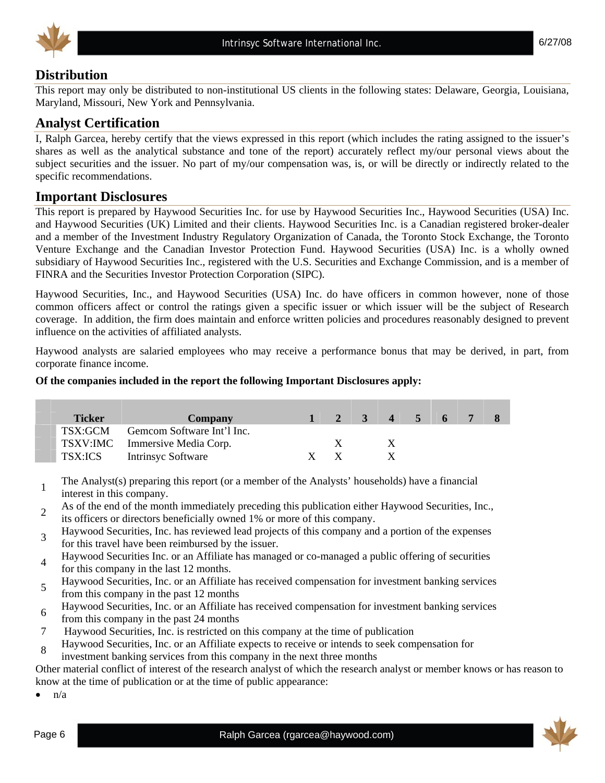



# **Distribution**

This report may only be distributed to non-institutional US clients in the following states: Delaware, Georgia, Louisiana, Maryland, Missouri, New York and Pennsylvania.

### **Analyst Certification**

I, Ralph Garcea, hereby certify that the views expressed in this report (which includes the rating assigned to the issuer's shares as well as the analytical substance and tone of the report) accurately reflect my/our personal views about the subject securities and the issuer. No part of my/our compensation was, is, or will be directly or indirectly related to the specific recommendations.

#### **Important Disclosures**

This report is prepared by Haywood Securities Inc. for use by Haywood Securities Inc., Haywood Securities (USA) Inc. and Haywood Securities (UK) Limited and their clients. Haywood Securities Inc. is a Canadian registered broker-dealer and a member of the Investment Industry Regulatory Organization of Canada, the Toronto Stock Exchange, the Toronto Venture Exchange and the Canadian Investor Protection Fund. Haywood Securities (USA) Inc. is a wholly owned subsidiary of Haywood Securities Inc., registered with the U.S. Securities and Exchange Commission, and is a member of FINRA and the Securities Investor Protection Corporation (SIPC).

Haywood Securities, Inc., and Haywood Securities (USA) Inc. do have officers in common however, none of those common officers affect or control the ratings given a specific issuer or which issuer will be the subject of Research coverage. In addition, the firm does maintain and enforce written policies and procedures reasonably designed to prevent influence on the activities of affiliated analysts.

Haywood analysts are salaried employees who may receive a performance bonus that may be derived, in part, from corporate finance income.

#### **Of the companies included in the report the following Important Disclosures apply:**

| <b>Ticker</b> | Company                            |     |              | 1 2 3 4 5 6 7 8 |  |  |
|---------------|------------------------------------|-----|--------------|-----------------|--|--|
|               | TSX:GCM Gemcom Software Int'l Inc. |     |              |                 |  |  |
|               | TSXV:IMC Immersive Media Corp.     |     | $\mathbf{x}$ |                 |  |  |
| TSX:ICS       | Intrinsyc Software                 | X X |              |                 |  |  |

<sup>1</sup>The Analyst(s) preparing this report (or a member of the Analysts' households) have a financial interest in this company.

2 As of the end of the month immediately preceding this publication either Haywood Securities, Inc., its officers or directors beneficially owned 1% or more of this company.

- <sup>3</sup>Haywood Securities, Inc. has reviewed lead projects of this company and a portion of the expenses for this travel have been reimbursed by the issuer.
- Haywood Securities Inc. or an Affiliate has managed or co-managed a public offering of securities for this company in the last 12 months.
- 5 Haywood Securities, Inc. or an Affiliate has received compensation for investment banking services from this company in the past 12 months
- <sup>6</sup>Haywood Securities, Inc. or an Affiliate has received compensation for investment banking services
- from this company in the past 24 months
- 7 Haywood Securities, Inc. is restricted on this company at the time of publication
- <sup>8</sup>Haywood Securities, Inc. or an Affiliate expects to receive or intends to seek compensation for
- investment banking services from this company in the next three months

Other material conflict of interest of the research analyst of which the research analyst or member knows or has reason to know at the time of publication or at the time of public appearance:

 $\bullet$   $n/a$ 

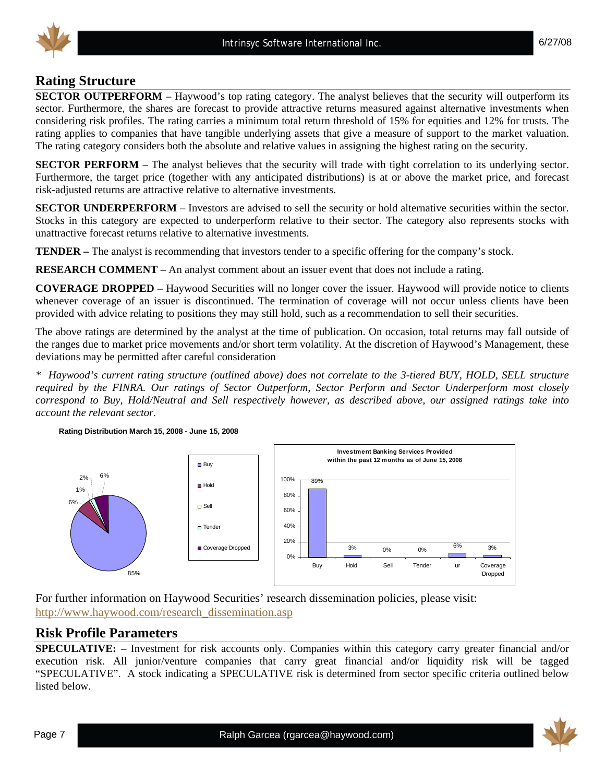

# **Rating Structure**

**SECTOR OUTPERFORM** – Haywood's top rating category. The analyst believes that the security will outperform its sector. Furthermore, the shares are forecast to provide attractive returns measured against alternative investments when considering risk profiles. The rating carries a minimum total return threshold of 15% for equities and 12% for trusts. The rating applies to companies that have tangible underlying assets that give a measure of support to the market valuation. The rating category considers both the absolute and relative values in assigning the highest rating on the security.

**SECTOR PERFORM** – The analyst believes that the security will trade with tight correlation to its underlying sector. Furthermore, the target price (together with any anticipated distributions) is at or above the market price, and forecast risk-adjusted returns are attractive relative to alternative investments.

**SECTOR UNDERPERFORM** – Investors are advised to sell the security or hold alternative securities within the sector. Stocks in this category are expected to underperform relative to their sector. The category also represents stocks with unattractive forecast returns relative to alternative investments.

**TENDER –** The analyst is recommending that investors tender to a specific offering for the company's stock.

**RESEARCH COMMENT** – An analyst comment about an issuer event that does not include a rating.

**COVERAGE DROPPED** – Haywood Securities will no longer cover the issuer. Haywood will provide notice to clients whenever coverage of an issuer is discontinued. The termination of coverage will not occur unless clients have been provided with advice relating to positions they may still hold, such as a recommendation to sell their securities.

The above ratings are determined by the analyst at the time of publication. On occasion, total returns may fall outside of the ranges due to market price movements and/or short term volatility. At the discretion of Haywood's Management, these deviations may be permitted after careful consideration

*\* Haywood's current rating structure (outlined above) does not correlate to the 3-tiered BUY, HOLD, SELL structure required by the FINRA. Our ratings of Sector Outperform, Sector Perform and Sector Underperform most closely correspond to Buy, Hold/Neutral and Sell respectively however, as described above, our assigned ratings take into account the relevant sector.* 





For further information on Haywood Securities' research dissemination policies, please visit: http://www.haywood.com/research\_dissemination.asp

### **Risk Profile Parameters**

**SPECULATIVE:** – Investment for risk accounts only. Companies within this category carry greater financial and/or execution risk. All junior/venture companies that carry great financial and/or liquidity risk will be tagged "SPECULATIVE". A stock indicating a SPECULATIVE risk is determined from sector specific criteria outlined below listed below.